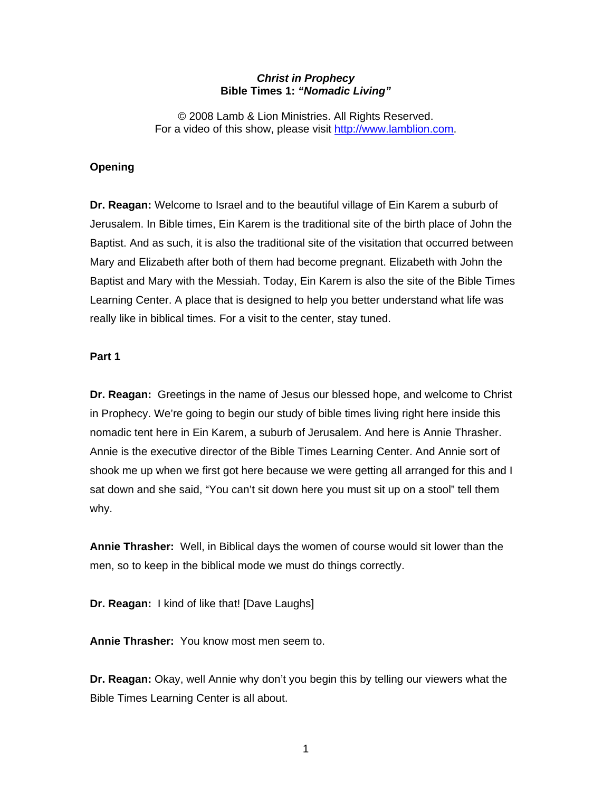## *Christ in Prophecy*  **Bible Times 1:** *"Nomadic Living"*

© 2008 Lamb & Lion Ministries. All Rights Reserved. For a video of this show, please visit [http://www.lamblion.com.](http://www.lamblion.com/)

## **Opening**

**Dr. Reagan:** Welcome to Israel and to the beautiful village of Ein Karem a suburb of Jerusalem. In Bible times, Ein Karem is the traditional site of the birth place of John the Baptist. And as such, it is also the traditional site of the visitation that occurred between Mary and Elizabeth after both of them had become pregnant. Elizabeth with John the Baptist and Mary with the Messiah. Today, Ein Karem is also the site of the Bible Times Learning Center. A place that is designed to help you better understand what life was really like in biblical times. For a visit to the center, stay tuned.

### **Part 1**

**Dr. Reagan:** Greetings in the name of Jesus our blessed hope, and welcome to Christ in Prophecy. We're going to begin our study of bible times living right here inside this nomadic tent here in Ein Karem, a suburb of Jerusalem. And here is Annie Thrasher. Annie is the executive director of the Bible Times Learning Center. And Annie sort of shook me up when we first got here because we were getting all arranged for this and I sat down and she said, "You can't sit down here you must sit up on a stool" tell them why.

**Annie Thrasher:** Well, in Biblical days the women of course would sit lower than the men, so to keep in the biblical mode we must do things correctly.

**Dr. Reagan:** I kind of like that! [Dave Laughs]

**Annie Thrasher:** You know most men seem to.

**Dr. Reagan:** Okay, well Annie why don't you begin this by telling our viewers what the Bible Times Learning Center is all about.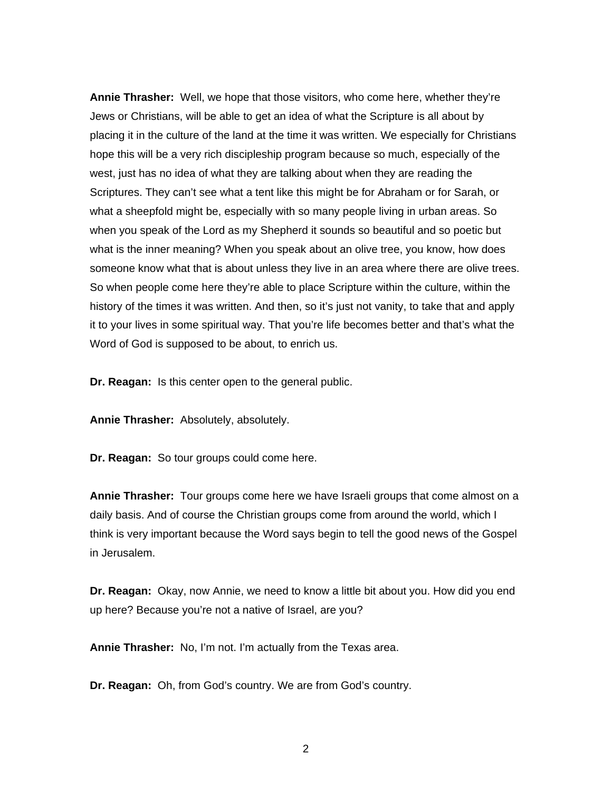**Annie Thrasher:** Well, we hope that those visitors, who come here, whether they're Jews or Christians, will be able to get an idea of what the Scripture is all about by placing it in the culture of the land at the time it was written. We especially for Christians hope this will be a very rich discipleship program because so much, especially of the west, just has no idea of what they are talking about when they are reading the Scriptures. They can't see what a tent like this might be for Abraham or for Sarah, or what a sheepfold might be, especially with so many people living in urban areas. So when you speak of the Lord as my Shepherd it sounds so beautiful and so poetic but what is the inner meaning? When you speak about an olive tree, you know, how does someone know what that is about unless they live in an area where there are olive trees. So when people come here they're able to place Scripture within the culture, within the history of the times it was written. And then, so it's just not vanity, to take that and apply it to your lives in some spiritual way. That you're life becomes better and that's what the Word of God is supposed to be about, to enrich us.

**Dr. Reagan:** Is this center open to the general public.

**Annie Thrasher:** Absolutely, absolutely.

**Dr. Reagan:** So tour groups could come here.

**Annie Thrasher:** Tour groups come here we have Israeli groups that come almost on a daily basis. And of course the Christian groups come from around the world, which I think is very important because the Word says begin to tell the good news of the Gospel in Jerusalem.

**Dr. Reagan:** Okay, now Annie, we need to know a little bit about you. How did you end up here? Because you're not a native of Israel, are you?

**Annie Thrasher:** No, I'm not. I'm actually from the Texas area.

**Dr. Reagan:** Oh, from God's country. We are from God's country.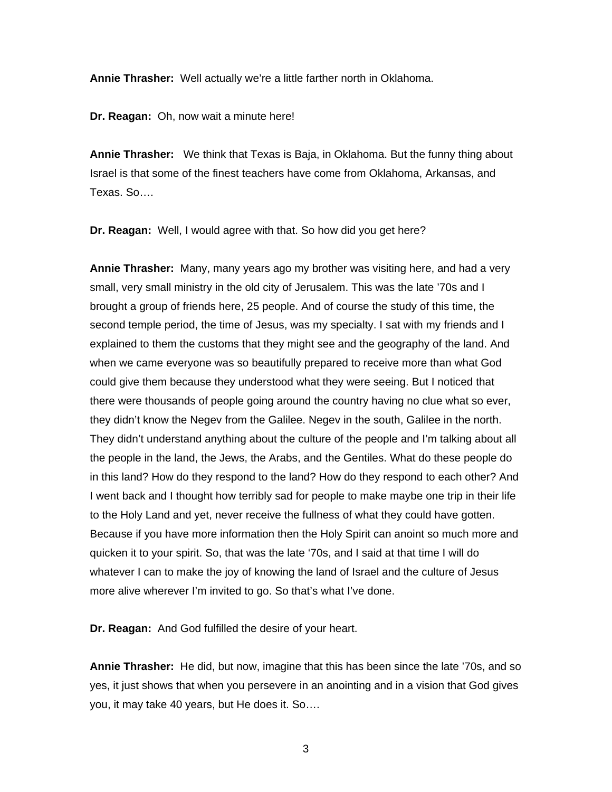**Annie Thrasher:** Well actually we're a little farther north in Oklahoma.

**Dr. Reagan:** Oh, now wait a minute here!

**Annie Thrasher:** We think that Texas is Baja, in Oklahoma. But the funny thing about Israel is that some of the finest teachers have come from Oklahoma, Arkansas, and Texas. So….

**Dr. Reagan:** Well, I would agree with that. So how did you get here?

**Annie Thrasher:** Many, many years ago my brother was visiting here, and had a very small, very small ministry in the old city of Jerusalem. This was the late '70s and I brought a group of friends here, 25 people. And of course the study of this time, the second temple period, the time of Jesus, was my specialty. I sat with my friends and I explained to them the customs that they might see and the geography of the land. And when we came everyone was so beautifully prepared to receive more than what God could give them because they understood what they were seeing. But I noticed that there were thousands of people going around the country having no clue what so ever, they didn't know the Negev from the Galilee. Negev in the south, Galilee in the north. They didn't understand anything about the culture of the people and I'm talking about all the people in the land, the Jews, the Arabs, and the Gentiles. What do these people do in this land? How do they respond to the land? How do they respond to each other? And I went back and I thought how terribly sad for people to make maybe one trip in their life to the Holy Land and yet, never receive the fullness of what they could have gotten. Because if you have more information then the Holy Spirit can anoint so much more and quicken it to your spirit. So, that was the late '70s, and I said at that time I will do whatever I can to make the joy of knowing the land of Israel and the culture of Jesus more alive wherever I'm invited to go. So that's what I've done.

**Dr. Reagan:** And God fulfilled the desire of your heart.

**Annie Thrasher:** He did, but now, imagine that this has been since the late '70s, and so yes, it just shows that when you persevere in an anointing and in a vision that God gives you, it may take 40 years, but He does it. So….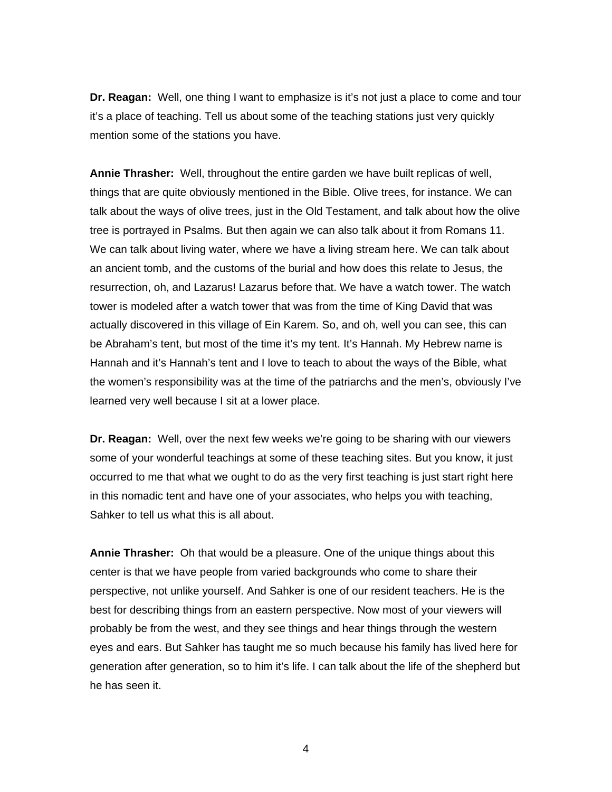**Dr. Reagan:** Well, one thing I want to emphasize is it's not just a place to come and tour it's a place of teaching. Tell us about some of the teaching stations just very quickly mention some of the stations you have.

**Annie Thrasher:** Well, throughout the entire garden we have built replicas of well, things that are quite obviously mentioned in the Bible. Olive trees, for instance. We can talk about the ways of olive trees, just in the Old Testament, and talk about how the olive tree is portrayed in Psalms. But then again we can also talk about it from Romans 11. We can talk about living water, where we have a living stream here. We can talk about an ancient tomb, and the customs of the burial and how does this relate to Jesus, the resurrection, oh, and Lazarus! Lazarus before that. We have a watch tower. The watch tower is modeled after a watch tower that was from the time of King David that was actually discovered in this village of Ein Karem. So, and oh, well you can see, this can be Abraham's tent, but most of the time it's my tent. It's Hannah. My Hebrew name is Hannah and it's Hannah's tent and I love to teach to about the ways of the Bible, what the women's responsibility was at the time of the patriarchs and the men's, obviously I've learned very well because I sit at a lower place.

**Dr. Reagan:** Well, over the next few weeks we're going to be sharing with our viewers some of your wonderful teachings at some of these teaching sites. But you know, it just occurred to me that what we ought to do as the very first teaching is just start right here in this nomadic tent and have one of your associates, who helps you with teaching, Sahker to tell us what this is all about.

**Annie Thrasher:** Oh that would be a pleasure. One of the unique things about this center is that we have people from varied backgrounds who come to share their perspective, not unlike yourself. And Sahker is one of our resident teachers. He is the best for describing things from an eastern perspective. Now most of your viewers will probably be from the west, and they see things and hear things through the western eyes and ears. But Sahker has taught me so much because his family has lived here for generation after generation, so to him it's life. I can talk about the life of the shepherd but he has seen it.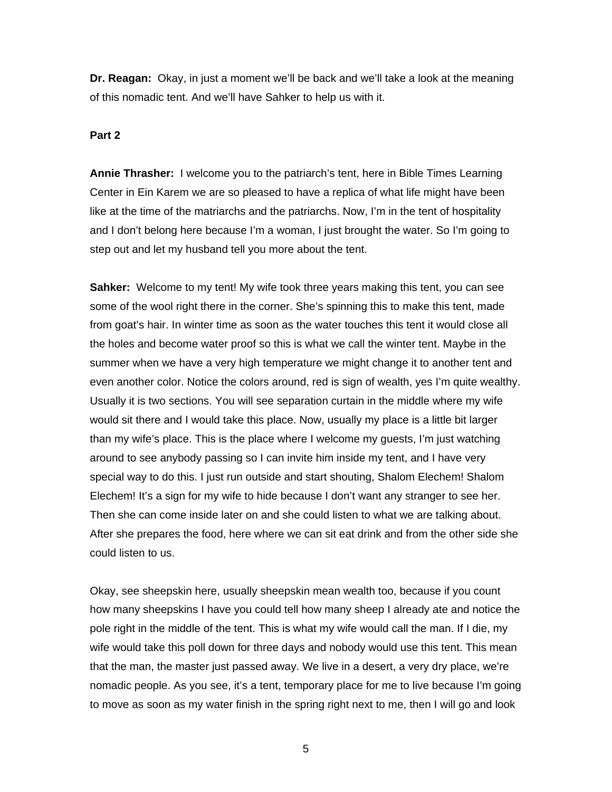**Dr. Reagan:** Okay, in just a moment we'll be back and we'll take a look at the meaning of this nomadic tent. And we'll have Sahker to help us with it.

#### **Part 2**

**Annie Thrasher:** I welcome you to the patriarch's tent, here in Bible Times Learning Center in Ein Karem we are so pleased to have a replica of what life might have been like at the time of the matriarchs and the patriarchs. Now, I'm in the tent of hospitality and I don't belong here because I'm a woman, I just brought the water. So I'm going to step out and let my husband tell you more about the tent.

**Sahker:** Welcome to my tent! My wife took three years making this tent, you can see some of the wool right there in the corner. She's spinning this to make this tent, made from goat's hair. In winter time as soon as the water touches this tent it would close all the holes and become water proof so this is what we call the winter tent. Maybe in the summer when we have a very high temperature we might change it to another tent and even another color. Notice the colors around, red is sign of wealth, yes I'm quite wealthy. Usually it is two sections. You will see separation curtain in the middle where my wife would sit there and I would take this place. Now, usually my place is a little bit larger than my wife's place. This is the place where I welcome my guests, I'm just watching around to see anybody passing so I can invite him inside my tent, and I have very special way to do this. I just run outside and start shouting, Shalom Elechem! Shalom Elechem! It's a sign for my wife to hide because I don't want any stranger to see her. Then she can come inside later on and she could listen to what we are talking about. After she prepares the food, here where we can sit eat drink and from the other side she could listen to us.

Okay, see sheepskin here, usually sheepskin mean wealth too, because if you count how many sheepskins I have you could tell how many sheep I already ate and notice the pole right in the middle of the tent. This is what my wife would call the man. If I die, my wife would take this poll down for three days and nobody would use this tent. This mean that the man, the master just passed away. We live in a desert, a very dry place, we're nomadic people. As you see, it's a tent, temporary place for me to live because I'm going to move as soon as my water finish in the spring right next to me, then I will go and look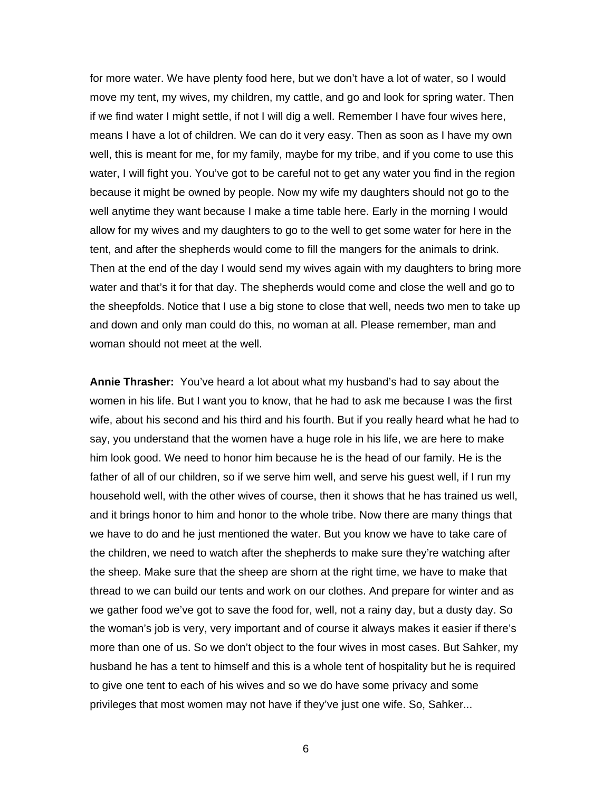for more water. We have plenty food here, but we don't have a lot of water, so I would move my tent, my wives, my children, my cattle, and go and look for spring water. Then if we find water I might settle, if not I will dig a well. Remember I have four wives here, means I have a lot of children. We can do it very easy. Then as soon as I have my own well, this is meant for me, for my family, maybe for my tribe, and if you come to use this water, I will fight you. You've got to be careful not to get any water you find in the region because it might be owned by people. Now my wife my daughters should not go to the well anytime they want because I make a time table here. Early in the morning I would allow for my wives and my daughters to go to the well to get some water for here in the tent, and after the shepherds would come to fill the mangers for the animals to drink. Then at the end of the day I would send my wives again with my daughters to bring more water and that's it for that day. The shepherds would come and close the well and go to the sheepfolds. Notice that I use a big stone to close that well, needs two men to take up and down and only man could do this, no woman at all. Please remember, man and woman should not meet at the well.

**Annie Thrasher:** You've heard a lot about what my husband's had to say about the women in his life. But I want you to know, that he had to ask me because I was the first wife, about his second and his third and his fourth. But if you really heard what he had to say, you understand that the women have a huge role in his life, we are here to make him look good. We need to honor him because he is the head of our family. He is the father of all of our children, so if we serve him well, and serve his guest well, if I run my household well, with the other wives of course, then it shows that he has trained us well, and it brings honor to him and honor to the whole tribe. Now there are many things that we have to do and he just mentioned the water. But you know we have to take care of the children, we need to watch after the shepherds to make sure they're watching after the sheep. Make sure that the sheep are shorn at the right time, we have to make that thread to we can build our tents and work on our clothes. And prepare for winter and as we gather food we've got to save the food for, well, not a rainy day, but a dusty day. So the woman's job is very, very important and of course it always makes it easier if there's more than one of us. So we don't object to the four wives in most cases. But Sahker, my husband he has a tent to himself and this is a whole tent of hospitality but he is required to give one tent to each of his wives and so we do have some privacy and some privileges that most women may not have if they've just one wife. So, Sahker...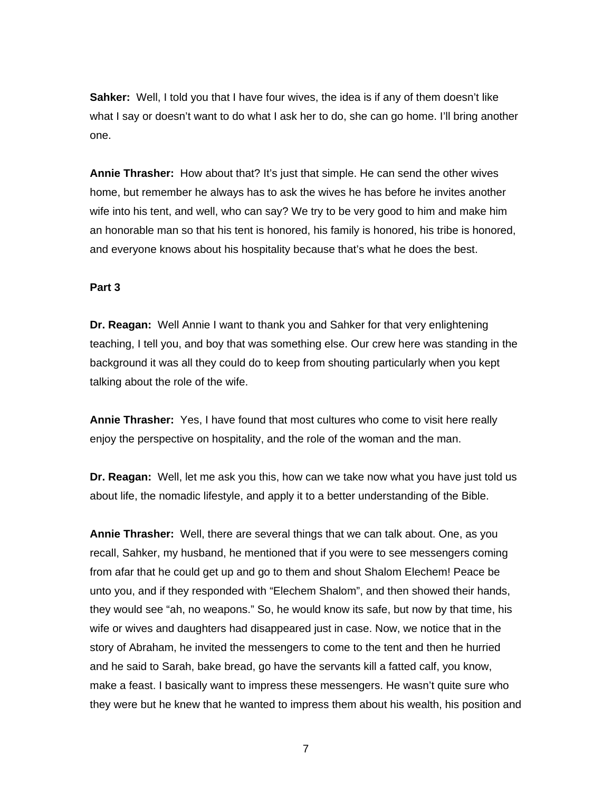**Sahker:** Well, I told you that I have four wives, the idea is if any of them doesn't like what I say or doesn't want to do what I ask her to do, she can go home. I'll bring another one.

**Annie Thrasher:** How about that? It's just that simple. He can send the other wives home, but remember he always has to ask the wives he has before he invites another wife into his tent, and well, who can say? We try to be very good to him and make him an honorable man so that his tent is honored, his family is honored, his tribe is honored, and everyone knows about his hospitality because that's what he does the best.

# **Part 3**

**Dr. Reagan:** Well Annie I want to thank you and Sahker for that very enlightening teaching, I tell you, and boy that was something else. Our crew here was standing in the background it was all they could do to keep from shouting particularly when you kept talking about the role of the wife.

**Annie Thrasher:** Yes, I have found that most cultures who come to visit here really enjoy the perspective on hospitality, and the role of the woman and the man.

**Dr. Reagan:** Well, let me ask you this, how can we take now what you have just told us about life, the nomadic lifestyle, and apply it to a better understanding of the Bible.

**Annie Thrasher:** Well, there are several things that we can talk about. One, as you recall, Sahker, my husband, he mentioned that if you were to see messengers coming from afar that he could get up and go to them and shout Shalom Elechem! Peace be unto you, and if they responded with "Elechem Shalom", and then showed their hands, they would see "ah, no weapons." So, he would know its safe, but now by that time, his wife or wives and daughters had disappeared just in case. Now, we notice that in the story of Abraham, he invited the messengers to come to the tent and then he hurried and he said to Sarah, bake bread, go have the servants kill a fatted calf, you know, make a feast. I basically want to impress these messengers. He wasn't quite sure who they were but he knew that he wanted to impress them about his wealth, his position and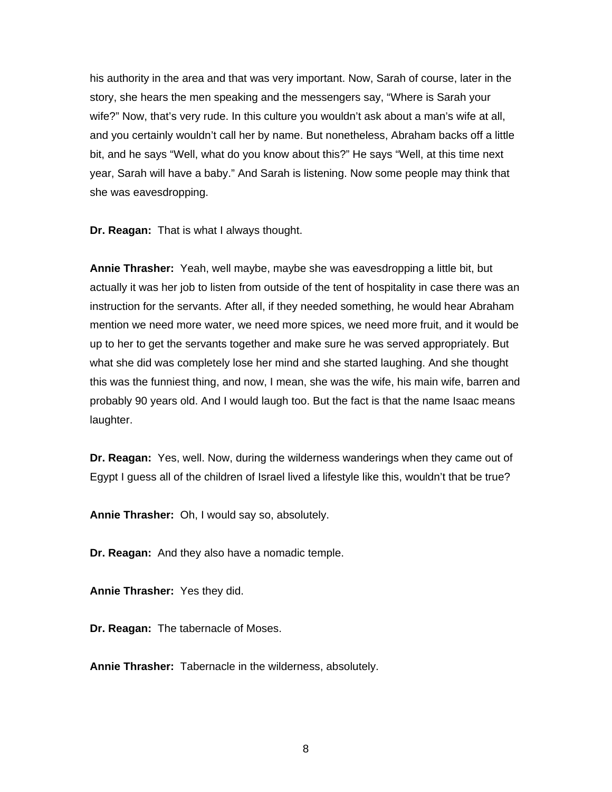his authority in the area and that was very important. Now, Sarah of course, later in the story, she hears the men speaking and the messengers say, "Where is Sarah your wife?" Now, that's very rude. In this culture you wouldn't ask about a man's wife at all, and you certainly wouldn't call her by name. But nonetheless, Abraham backs off a little bit, and he says "Well, what do you know about this?" He says "Well, at this time next year, Sarah will have a baby." And Sarah is listening. Now some people may think that she was eavesdropping.

**Dr. Reagan:** That is what I always thought.

**Annie Thrasher:** Yeah, well maybe, maybe she was eavesdropping a little bit, but actually it was her job to listen from outside of the tent of hospitality in case there was an instruction for the servants. After all, if they needed something, he would hear Abraham mention we need more water, we need more spices, we need more fruit, and it would be up to her to get the servants together and make sure he was served appropriately. But what she did was completely lose her mind and she started laughing. And she thought this was the funniest thing, and now, I mean, she was the wife, his main wife, barren and probably 90 years old. And I would laugh too. But the fact is that the name Isaac means laughter.

**Dr. Reagan:** Yes, well. Now, during the wilderness wanderings when they came out of Egypt I guess all of the children of Israel lived a lifestyle like this, wouldn't that be true?

**Annie Thrasher:** Oh, I would say so, absolutely.

**Dr. Reagan:** And they also have a nomadic temple.

**Annie Thrasher:** Yes they did.

**Dr. Reagan:** The tabernacle of Moses.

**Annie Thrasher:** Tabernacle in the wilderness, absolutely.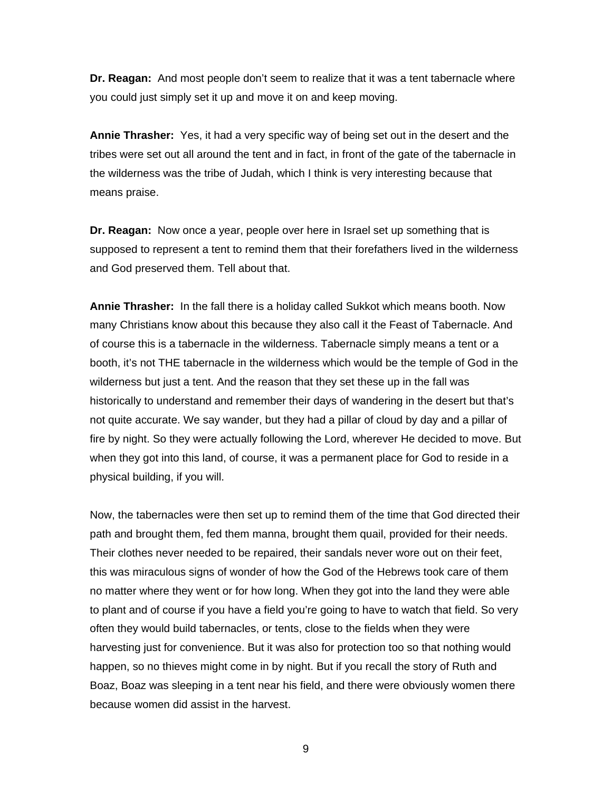**Dr. Reagan:** And most people don't seem to realize that it was a tent tabernacle where you could just simply set it up and move it on and keep moving.

**Annie Thrasher:** Yes, it had a very specific way of being set out in the desert and the tribes were set out all around the tent and in fact, in front of the gate of the tabernacle in the wilderness was the tribe of Judah, which I think is very interesting because that means praise.

**Dr. Reagan:** Now once a year, people over here in Israel set up something that is supposed to represent a tent to remind them that their forefathers lived in the wilderness and God preserved them. Tell about that.

**Annie Thrasher:** In the fall there is a holiday called Sukkot which means booth. Now many Christians know about this because they also call it the Feast of Tabernacle. And of course this is a tabernacle in the wilderness. Tabernacle simply means a tent or a booth, it's not THE tabernacle in the wilderness which would be the temple of God in the wilderness but just a tent. And the reason that they set these up in the fall was historically to understand and remember their days of wandering in the desert but that's not quite accurate. We say wander, but they had a pillar of cloud by day and a pillar of fire by night. So they were actually following the Lord, wherever He decided to move. But when they got into this land, of course, it was a permanent place for God to reside in a physical building, if you will.

Now, the tabernacles were then set up to remind them of the time that God directed their path and brought them, fed them manna, brought them quail, provided for their needs. Their clothes never needed to be repaired, their sandals never wore out on their feet, this was miraculous signs of wonder of how the God of the Hebrews took care of them no matter where they went or for how long. When they got into the land they were able to plant and of course if you have a field you're going to have to watch that field. So very often they would build tabernacles, or tents, close to the fields when they were harvesting just for convenience. But it was also for protection too so that nothing would happen, so no thieves might come in by night. But if you recall the story of Ruth and Boaz, Boaz was sleeping in a tent near his field, and there were obviously women there because women did assist in the harvest.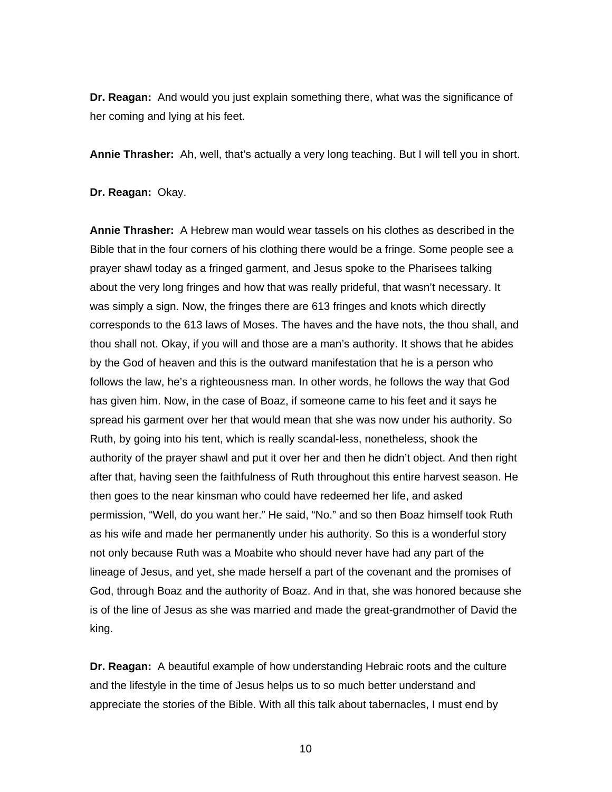**Dr. Reagan:** And would you just explain something there, what was the significance of her coming and lying at his feet.

**Annie Thrasher:** Ah, well, that's actually a very long teaching. But I will tell you in short.

**Dr. Reagan:** Okay.

**Annie Thrasher:** A Hebrew man would wear tassels on his clothes as described in the Bible that in the four corners of his clothing there would be a fringe. Some people see a prayer shawl today as a fringed garment, and Jesus spoke to the Pharisees talking about the very long fringes and how that was really prideful, that wasn't necessary. It was simply a sign. Now, the fringes there are 613 fringes and knots which directly corresponds to the 613 laws of Moses. The haves and the have nots, the thou shall, and thou shall not. Okay, if you will and those are a man's authority. It shows that he abides by the God of heaven and this is the outward manifestation that he is a person who follows the law, he's a righteousness man. In other words, he follows the way that God has given him. Now, in the case of Boaz, if someone came to his feet and it says he spread his garment over her that would mean that she was now under his authority. So Ruth, by going into his tent, which is really scandal-less, nonetheless, shook the authority of the prayer shawl and put it over her and then he didn't object. And then right after that, having seen the faithfulness of Ruth throughout this entire harvest season. He then goes to the near kinsman who could have redeemed her life, and asked permission, "Well, do you want her." He said, "No." and so then Boaz himself took Ruth as his wife and made her permanently under his authority. So this is a wonderful story not only because Ruth was a Moabite who should never have had any part of the lineage of Jesus, and yet, she made herself a part of the covenant and the promises of God, through Boaz and the authority of Boaz. And in that, she was honored because she is of the line of Jesus as she was married and made the great-grandmother of David the king.

**Dr. Reagan:** A beautiful example of how understanding Hebraic roots and the culture and the lifestyle in the time of Jesus helps us to so much better understand and appreciate the stories of the Bible. With all this talk about tabernacles, I must end by